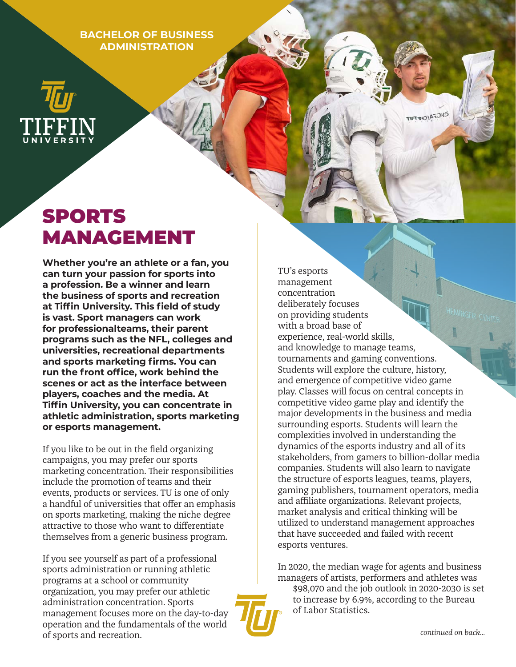**BACHELOR OF BUSINESS ADMINISTRATION**

# SPORTS MANAGEMENT

**Whether you're an athlete or a fan, you can turn your passion for sports into a profession. Be a winner and learn the business of sports and recreation at Tiffin University. This field of study is vast. Sport managers can work for professionalteams, their parent programs such as the NFL, colleges and universities, recreational departments and sports marketing firms. You can run the front office, work behind the scenes or act as the interface between players, coaches and the media. At Tiffin University, you can concentrate in athletic administration, sports marketing or esports management.** 

If you like to be out in the field organizing campaigns, you may prefer our sports marketing concentration. Their responsibilities include the promotion of teams and their events, products or services. TU is one of only a handful of universities that offer an emphasis on sports marketing, making the niche degree attractive to those who want to differentiate themselves from a generic business program.

If you see yourself as part of a professional sports administration or running athletic programs at a school or community organization, you may prefer our athletic administration concentration. Sports management focuses more on the day-to-day operation and the fundamentals of the world of sports and recreation.

TU's esports management concentration deliberately focuses on providing students with a broad base of experience, real-world skills, and knowledge to manage teams, tournaments and gaming conventions. Students will explore the culture, history, and emergence of competitive video game play. Classes will focus on central concepts in competitive video game play and identify the major developments in the business and media surrounding esports. Students will learn the complexities involved in understanding the dynamics of the esports industry and all of its stakeholders, from gamers to billion-dollar media companies. Students will also learn to navigate the structure of esports leagues, teams, players, gaming publishers, tournament operators, media and affiliate organizations. Relevant projects, market analysis and critical thinking will be utilized to understand management approaches that have succeeded and failed with recent esports ventures.

**TIFFINORASONS** 

In 2020, the median wage for agents and business managers of artists, performers and athletes was

\$98,070 and the job outlook in 2020-2030 is set to increase by 6.9%, according to the Bureau of Labor Statistics.